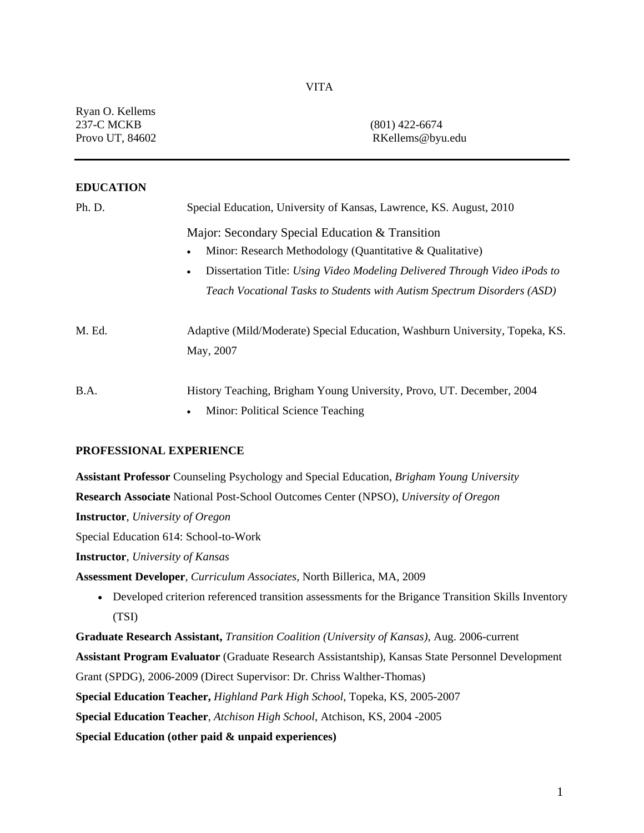| Ryan O. Kellems<br><b>237-C MCKB</b><br>Provo UT, 84602 | $(801)$ 422-6674<br>RKellems@byu.edu                                                                                                                                                                                                                                             |  |
|---------------------------------------------------------|----------------------------------------------------------------------------------------------------------------------------------------------------------------------------------------------------------------------------------------------------------------------------------|--|
| <b>EDUCATION</b>                                        |                                                                                                                                                                                                                                                                                  |  |
| Ph. D.                                                  | Special Education, University of Kansas, Lawrence, KS. August, 2010                                                                                                                                                                                                              |  |
|                                                         | Major: Secondary Special Education & Transition<br>Minor: Research Methodology (Quantitative & Qualitative)<br>Dissertation Title: Using Video Modeling Delivered Through Video iPods to<br>$\bullet$<br>Teach Vocational Tasks to Students with Autism Spectrum Disorders (ASD) |  |
| M. Ed.                                                  | Adaptive (Mild/Moderate) Special Education, Washburn University, Topeka, KS.<br>May, 2007                                                                                                                                                                                        |  |
| B.A.                                                    | History Teaching, Brigham Young University, Provo, UT. December, 2004<br>Minor: Political Science Teaching                                                                                                                                                                       |  |

## **PROFESSIONAL EXPERIENCE**

**Assistant Professor** Counseling Psychology and Special Education, *Brigham Young University* **Research Associate** National Post-School Outcomes Center (NPSO), *University of Oregon*  **Instructor**, *University of Oregon*

Special Education 614: School-to-Work

**Instructor**, *University of Kansas*

**Assessment Developer**, *Curriculum Associates*, North Billerica, MA, 2009

 Developed criterion referenced transition assessments for the Brigance Transition Skills Inventory (TSI)

**Graduate Research Assistant,** *Transition Coalition (University of Kansas)*, Aug. 2006-current **Assistant Program Evaluator** (Graduate Research Assistantship), Kansas State Personnel Development Grant (SPDG), 2006-2009 (Direct Supervisor: Dr. Chriss Walther-Thomas) **Special Education Teacher,** *Highland Park High School*, Topeka, KS, 2005-2007 **Special Education Teacher**, *Atchison High School*, Atchison, KS, 2004 -2005 **Special Education (other paid & unpaid experiences)**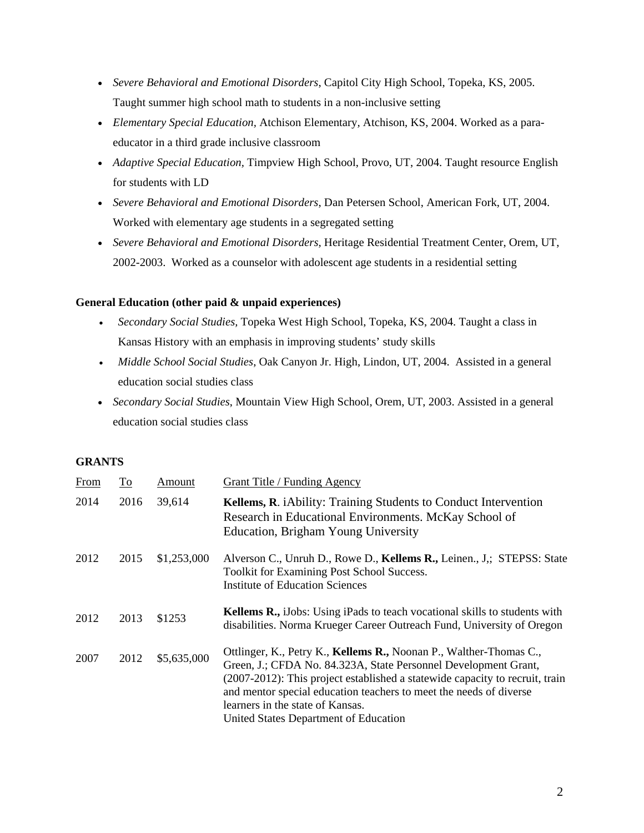- *Severe Behavioral and Emotional Disorders*, Capitol City High School, Topeka, KS, 2005. Taught summer high school math to students in a non-inclusive setting
- *Elementary Special Education,* Atchison Elementary*,* Atchison, KS, 2004. Worked as a paraeducator in a third grade inclusive classroom
- *Adaptive Special Education,* Timpview High School, Provo, UT, 2004. Taught resource English for students with LD
- *Severe Behavioral and Emotional Disorders*, Dan Petersen School, American Fork, UT, 2004. Worked with elementary age students in a segregated setting
- *Severe Behavioral and Emotional Disorders,* Heritage Residential Treatment Center, Orem, UT, 2002-2003. Worked as a counselor with adolescent age students in a residential setting

# **General Education (other paid & unpaid experiences)**

- *Secondary Social Studies,* Topeka West High School, Topeka, KS, 2004. Taught a class in Kansas History with an emphasis in improving students' study skills
- *Middle School Social Studies*, Oak Canyon Jr. High, Lindon, UT, 2004. Assisted in a general education social studies class
- *Secondary Social Studies*, Mountain View High School, Orem, UT, 2003. Assisted in a general education social studies class

## **GRANTS**

| From | <u>To</u> | Amount      | Grant Title / Funding Agency                                                                                                                                                                                                                                                                                                                                             |  |
|------|-----------|-------------|--------------------------------------------------------------------------------------------------------------------------------------------------------------------------------------------------------------------------------------------------------------------------------------------------------------------------------------------------------------------------|--|
| 2014 | 2016      | 39,614      | <b>Kellems, R.</b> <i>iAbility: Training Students to Conduct Intervention</i><br>Research in Educational Environments. McKay School of<br>Education, Brigham Young University                                                                                                                                                                                            |  |
| 2012 | 2015      | \$1,253,000 | Alverson C., Unruh D., Rowe D., Kellems R., Leinen., J.; STEPSS: State<br>Toolkit for Examining Post School Success.<br><b>Institute of Education Sciences</b>                                                                                                                                                                                                           |  |
| 2012 | 2013      | \$1253      | <b>Kellems R., iJobs:</b> Using iPads to teach vocational skills to students with<br>disabilities. Norma Krueger Career Outreach Fund, University of Oregon                                                                                                                                                                                                              |  |
| 2007 | 2012      | \$5,635,000 | Ottlinger, K., Petry K., Kellems R., Noonan P., Walther-Thomas C.,<br>Green, J.; CFDA No. 84.323A, State Personnel Development Grant,<br>(2007-2012): This project established a statewide capacity to recruit, train<br>and mentor special education teachers to meet the needs of diverse<br>learners in the state of Kansas.<br>United States Department of Education |  |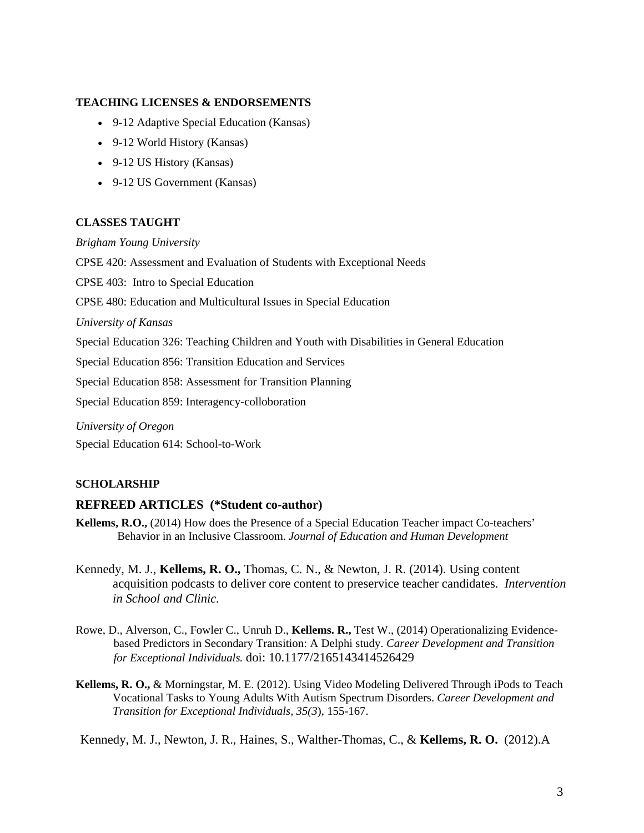# **TEACHING LICENSES & ENDORSEMENTS**

- 9-12 Adaptive Special Education (Kansas)
- 9-12 World History (Kansas)
- 9-12 US History (Kansas)
- 9-12 US Government (Kansas)

# **CLASSES TAUGHT**

*Brigham Young University* 

CPSE 420: Assessment and Evaluation of Students with Exceptional Needs

CPSE 403: Intro to Special Education

CPSE 480: Education and Multicultural Issues in Special Education

*University of Kansas* 

Special Education 326: Teaching Children and Youth with Disabilities in General Education

Special Education 856: Transition Education and Services

Special Education 858: Assessment for Transition Planning

Special Education 859: Interagency-colloboration

*University of Oregon*  Special Education 614: School-to-Work

## **SCHOLARSHIP**

## **REFREED ARTICLES (\*Student co-author)**

- **Kellems, R.O.,** (2014) How does the Presence of a Special Education Teacher impact Co-teachers' Behavior in an Inclusive Classroom. *Journal of Education and Human Development*
- Kennedy, M. J., **Kellems, R. O.,** Thomas, C. N., & Newton, J. R. (2014). Using content acquisition podcasts to deliver core content to preservice teacher candidates. *Intervention in School and Clinic.*
- Rowe, D., Alverson, C., Fowler C., Unruh D., **Kellems. R.,** Test W., (2014) Operationalizing Evidencebased Predictors in Secondary Transition: A Delphi study. *Career Development and Transition for Exceptional Individuals.* doi: 10.1177/2165143414526429
- **Kellems, R. O.,** & Morningstar, M. E. (2012). Using Video Modeling Delivered Through iPods to Teach Vocational Tasks to Young Adults With Autism Spectrum Disorders. *Career Development and Transition for Exceptional Individuals, 35(3*), 155-167.

Kennedy, M. J., Newton, J. R., Haines, S., Walther-Thomas, C., & **Kellems, R. O.** (2012).A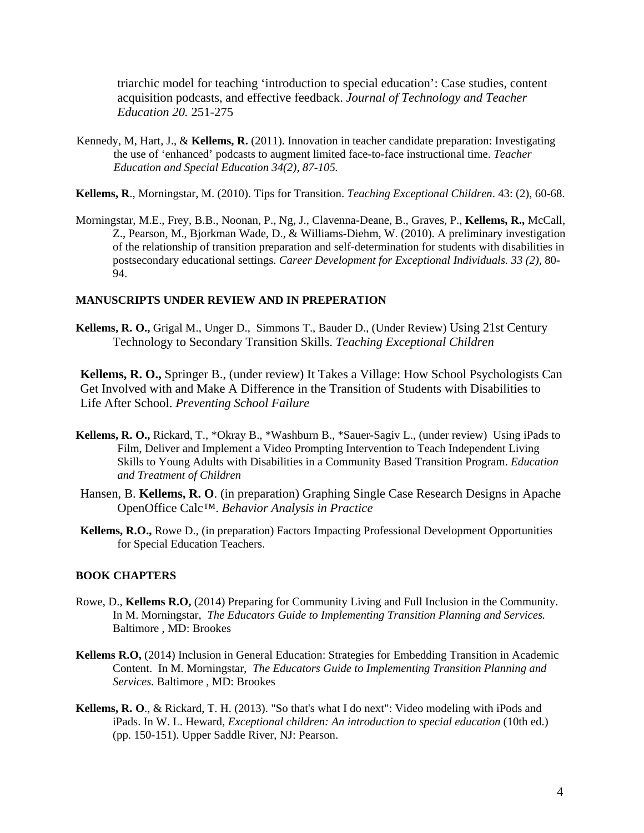triarchic model for teaching 'introduction to special education': Case studies, content acquisition podcasts, and effective feedback. *Journal of Technology and Teacher Education 20.* 251-275

- Kennedy, M, Hart, J., & **Kellems, R.** (2011). Innovation in teacher candidate preparation: Investigating the use of 'enhanced' podcasts to augment limited face-to-face instructional time. *Teacher Education and Special Education 34(2), 87-105.*
- **Kellems, R**., Morningstar, M. (2010). Tips for Transition. *Teaching Exceptional Children*. 43: (2), 60-68.
- Morningstar, M.E., Frey, B.B., Noonan, P., Ng, J., Clavenna-Deane, B., Graves, P., **Kellems, R.,** McCall, Z., Pearson, M., Bjorkman Wade, D., & Williams-Diehm, W. (2010). A preliminary investigation of the relationship of transition preparation and self-determination for students with disabilities in postsecondary educational settings. *Career Development for Exceptional Individuals. 33 (2),* 80- 94.

### **MANUSCRIPTS UNDER REVIEW AND IN PREPERATION**

**Kellems, R. O.,** Grigal M., Unger D., Simmons T., Bauder D., (Under Review) Using 21st Century Technology to Secondary Transition Skills. *Teaching Exceptional Children*

**Kellems, R. O.,** Springer B., (under review) It Takes a Village: How School Psychologists Can Get Involved with and Make A Difference in the Transition of Students with Disabilities to Life After School. *Preventing School Failure* 

- **Kellems, R. O.,** Rickard, T., \*Okray B., \*Washburn B., \*Sauer-Sagiv L., (under review) Using iPads to Film, Deliver and Implement a Video Prompting Intervention to Teach Independent Living Skills to Young Adults with Disabilities in a Community Based Transition Program. *Education and Treatment of Children*
- Hansen, B. **Kellems, R. O**. (in preparation) Graphing Single Case Research Designs in Apache OpenOffice Calc™. *Behavior Analysis in Practice*
- **Kellems, R.O.,** Rowe D., (in preparation) Factors Impacting Professional Development Opportunities for Special Education Teachers.

#### **BOOK CHAPTERS**

- Rowe, D., **Kellems R.O,** (2014) Preparing for Community Living and Full Inclusion in the Community. In M. Morningstar, *The Educators Guide to Implementing Transition Planning and Services.*  Baltimore , MD: Brookes
- **Kellems R.O,** (2014) Inclusion in General Education: Strategies for Embedding Transition in Academic Content. In M. Morningstar, *The Educators Guide to Implementing Transition Planning and Services.* Baltimore , MD: Brookes
- **Kellems, R. O**., & Rickard, T. H. (2013). "So that's what I do next": Video modeling with iPods and iPads. In W. L. Heward, *Exceptional children: An introduction to special education* (10th ed.) (pp. 150-151). Upper Saddle River, NJ: Pearson.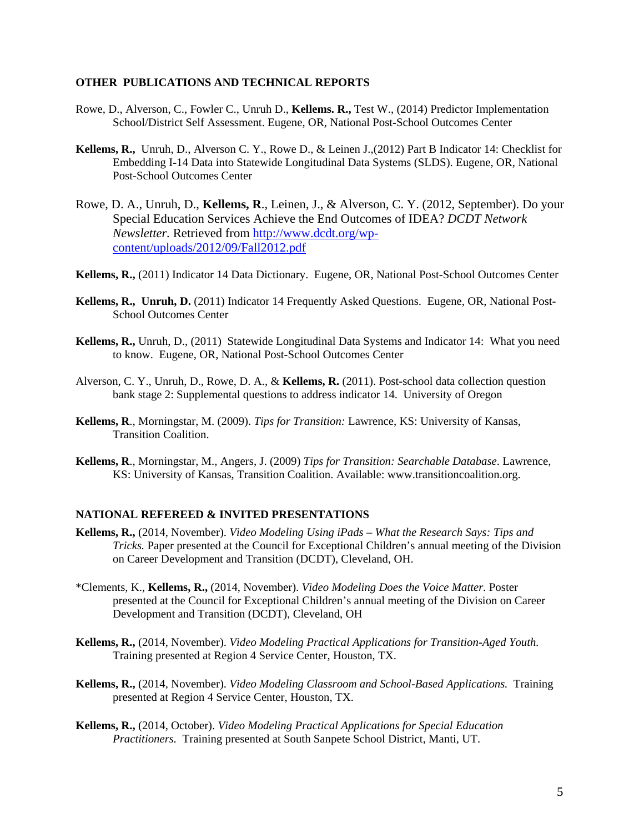#### **OTHER PUBLICATIONS AND TECHNICAL REPORTS**

- Rowe, D., Alverson, C., Fowler C., Unruh D., **Kellems. R.,** Test W., (2014) Predictor Implementation School/District Self Assessment. Eugene, OR, National Post-School Outcomes Center
- **Kellems, R.,** Unruh, D., Alverson C. Y., Rowe D., & Leinen J.,(2012) Part B Indicator 14: Checklist for Embedding I-14 Data into Statewide Longitudinal Data Systems (SLDS). Eugene, OR, National Post-School Outcomes Center
- Rowe, D. A., Unruh, D., **Kellems, R**., Leinen, J., & Alverson, C. Y. (2012, September). Do your Special Education Services Achieve the End Outcomes of IDEA? *DCDT Network Newsletter.* Retrieved from http://www.dcdt.org/wpcontent/uploads/2012/09/Fall2012.pdf
- **Kellems, R.,** (2011) Indicator 14 Data Dictionary. Eugene, OR, National Post-School Outcomes Center
- **Kellems, R., Unruh, D.** (2011) Indicator 14 Frequently Asked Questions. Eugene, OR, National Post-School Outcomes Center
- **Kellems, R.,** Unruh, D., (2011) Statewide Longitudinal Data Systems and Indicator 14: What you need to know. Eugene, OR, National Post-School Outcomes Center
- Alverson, C. Y., Unruh, D., Rowe, D. A., & **Kellems, R.** (2011). Post-school data collection question bank stage 2: Supplemental questions to address indicator 14. University of Oregon
- **Kellems, R**., Morningstar, M. (2009). *Tips for Transition:* Lawrence, KS: University of Kansas, Transition Coalition.
- **Kellems, R**., Morningstar, M., Angers, J. (2009) *Tips for Transition: Searchable Database*. Lawrence, KS: University of Kansas, Transition Coalition. Available: www.transitioncoalition.org.

### **NATIONAL REFEREED & INVITED PRESENTATIONS**

- **Kellems, R.,** (2014, November). *Video Modeling Using iPads What the Research Says: Tips and Tricks.* Paper presented at the Council for Exceptional Children's annual meeting of the Division on Career Development and Transition (DCDT), Cleveland, OH.
- \*Clements, K., **Kellems, R.,** (2014, November). *Video Modeling Does the Voice Matter.* Poster presented at the Council for Exceptional Children's annual meeting of the Division on Career Development and Transition (DCDT), Cleveland, OH
- **Kellems, R.,** (2014, November). *Video Modeling Practical Applications for Transition-Aged Youth.* Training presented at Region 4 Service Center, Houston, TX.
- **Kellems, R.,** (2014, November). *Video Modeling Classroom and School-Based Applications.* Training presented at Region 4 Service Center, Houston, TX.
- **Kellems, R.,** (2014, October). *Video Modeling Practical Applications for Special Education Practitioners.* Training presented at South Sanpete School District, Manti, UT.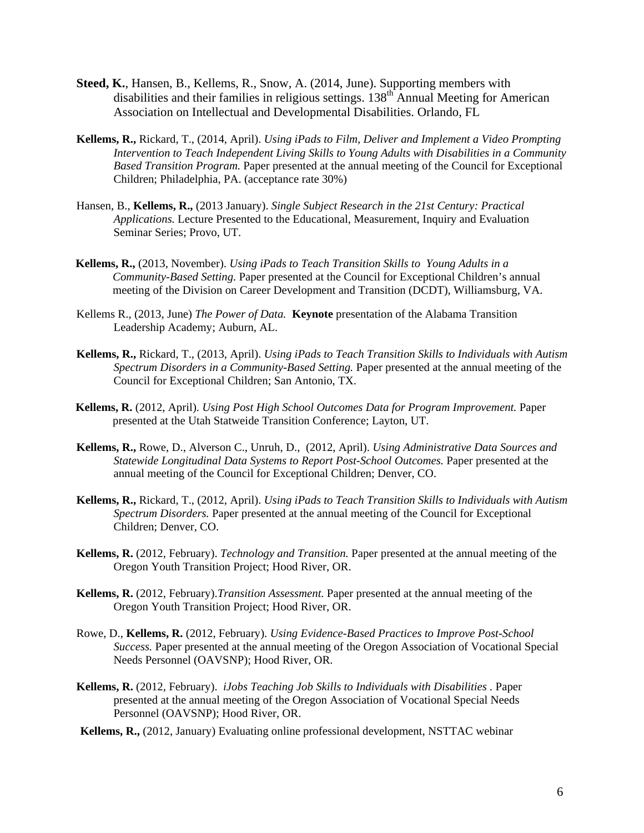- **Steed, K.**, Hansen, B., Kellems, R., Snow, A. (2014, June). Supporting members with disabilities and their families in religious settings. 138<sup>th</sup> Annual Meeting for American Association on Intellectual and Developmental Disabilities. Orlando, FL
- **Kellems, R.,** Rickard, T., (2014, April). *Using iPads to Film, Deliver and Implement a Video Prompting Intervention to Teach Independent Living Skills to Young Adults with Disabilities in a Community Based Transition Program.* Paper presented at the annual meeting of the Council for Exceptional Children; Philadelphia, PA. (acceptance rate 30%)
- Hansen, B., **Kellems, R.,** (2013 January). *Single Subject Research in the 21st Century: Practical Applications.* Lecture Presented to the Educational, Measurement, Inquiry and Evaluation Seminar Series; Provo, UT.
- **Kellems, R.,** (2013, November). *Using iPads to Teach Transition Skills to Young Adults in a Community-Based Setting.* Paper presented at the Council for Exceptional Children's annual meeting of the Division on Career Development and Transition (DCDT), Williamsburg, VA.
- Kellems R., (2013, June) *The Power of Data.* **Keynote** presentation of the Alabama Transition Leadership Academy; Auburn, AL.
- **Kellems, R.,** Rickard, T., (2013, April). *Using iPads to Teach Transition Skills to Individuals with Autism Spectrum Disorders in a Community-Based Setting.* Paper presented at the annual meeting of the Council for Exceptional Children; San Antonio, TX.
- **Kellems, R.** (2012, April). *Using Post High School Outcomes Data for Program Improvement.* Paper presented at the Utah Statweide Transition Conference; Layton, UT.
- **Kellems, R.,** Rowe, D., Alverson C., Unruh, D., (2012, April). *Using Administrative Data Sources and Statewide Longitudinal Data Systems to Report Post-School Outcomes.* Paper presented at the annual meeting of the Council for Exceptional Children; Denver, CO.
- **Kellems, R.,** Rickard, T., (2012, April). *Using iPads to Teach Transition Skills to Individuals with Autism Spectrum Disorders.* Paper presented at the annual meeting of the Council for Exceptional Children; Denver, CO.
- **Kellems, R.** (2012, February). *Technology and Transition.* Paper presented at the annual meeting of the Oregon Youth Transition Project; Hood River, OR.
- **Kellems, R.** (2012, February).*Transition Assessment.* Paper presented at the annual meeting of the Oregon Youth Transition Project; Hood River, OR.
- Rowe, D., **Kellems, R.** (2012, February). *Using Evidence-Based Practices to Improve Post-School Success.* Paper presented at the annual meeting of the Oregon Association of Vocational Special Needs Personnel (OAVSNP); Hood River, OR.
- **Kellems, R.** (2012, February). *iJobs Teaching Job Skills to Individuals with Disabilities .* Paper presented at the annual meeting of the Oregon Association of Vocational Special Needs Personnel (OAVSNP); Hood River, OR.
- **Kellems, R.,** (2012, January) Evaluating online professional development, NSTTAC webinar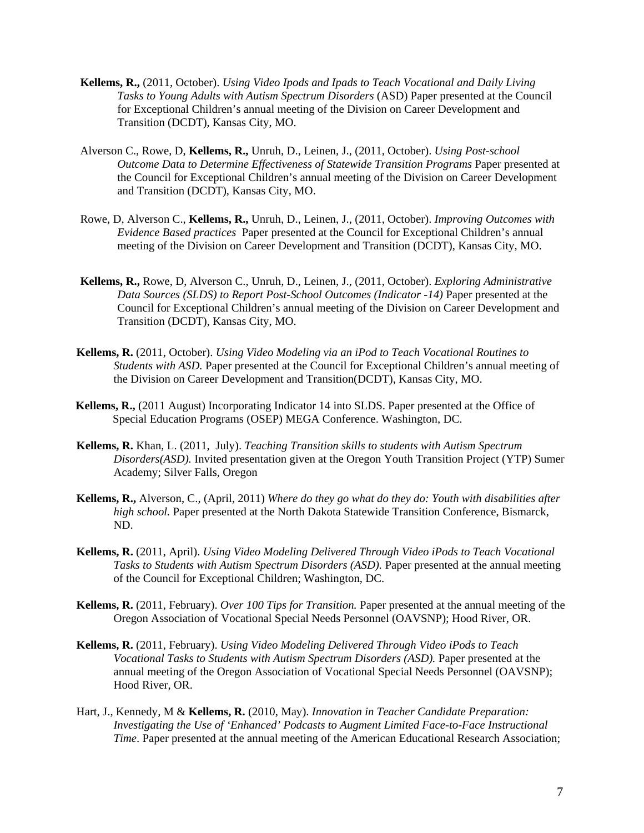- **Kellems, R.,** (2011, October). *Using Video Ipods and Ipads to Teach Vocational and Daily Living Tasks to Young Adults with Autism Spectrum Disorders* (ASD) Paper presented at the Council for Exceptional Children's annual meeting of the Division on Career Development and Transition (DCDT), Kansas City, MO.
- Alverson C., Rowe, D, **Kellems, R.,** Unruh, D., Leinen, J., (2011, October). *Using Post-school Outcome Data to Determine Effectiveness of Statewide Transition Programs* Paper presented at the Council for Exceptional Children's annual meeting of the Division on Career Development and Transition (DCDT), Kansas City, MO.
- Rowe, D, Alverson C., **Kellems, R.,** Unruh, D., Leinen, J., (2011, October). *Improving Outcomes with Evidence Based practices* Paper presented at the Council for Exceptional Children's annual meeting of the Division on Career Development and Transition (DCDT), Kansas City, MO.
- **Kellems, R.,** Rowe, D, Alverson C., Unruh, D., Leinen, J., (2011, October). *Exploring Administrative Data Sources (SLDS) to Report Post-School Outcomes (Indicator -14)* Paper presented at the Council for Exceptional Children's annual meeting of the Division on Career Development and Transition (DCDT), Kansas City, MO.
- **Kellems, R.** (2011, October). *Using Video Modeling via an iPod to Teach Vocational Routines to Students with ASD.* Paper presented at the Council for Exceptional Children's annual meeting of the Division on Career Development and Transition(DCDT), Kansas City, MO.
- **Kellems, R.,** (2011 August) Incorporating Indicator 14 into SLDS. Paper presented at the Office of Special Education Programs (OSEP) MEGA Conference. Washington, DC.
- **Kellems, R.** Khan, L. (2011, July). *Teaching Transition skills to students with Autism Spectrum Disorders(ASD).* Invited presentation given at the Oregon Youth Transition Project (YTP) Sumer Academy; Silver Falls, Oregon
- **Kellems, R.,** Alverson, C., (April, 2011) *Where do they go what do they do: Youth with disabilities after high school.* Paper presented at the North Dakota Statewide Transition Conference, Bismarck, ND.
- **Kellems, R.** (2011, April). *Using Video Modeling Delivered Through Video iPods to Teach Vocational Tasks to Students with Autism Spectrum Disorders (ASD).* Paper presented at the annual meeting of the Council for Exceptional Children; Washington, DC.
- **Kellems, R.** (2011, February). *Over 100 Tips for Transition.* Paper presented at the annual meeting of the Oregon Association of Vocational Special Needs Personnel (OAVSNP); Hood River, OR.
- **Kellems, R.** (2011, February). *Using Video Modeling Delivered Through Video iPods to Teach Vocational Tasks to Students with Autism Spectrum Disorders (ASD).* Paper presented at the annual meeting of the Oregon Association of Vocational Special Needs Personnel (OAVSNP); Hood River, OR.
- Hart, J., Kennedy, M & **Kellems, R.** (2010, May). *Innovation in Teacher Candidate Preparation: Investigating the Use of 'Enhanced' Podcasts to Augment Limited Face-to-Face Instructional Time*. Paper presented at the annual meeting of the American Educational Research Association;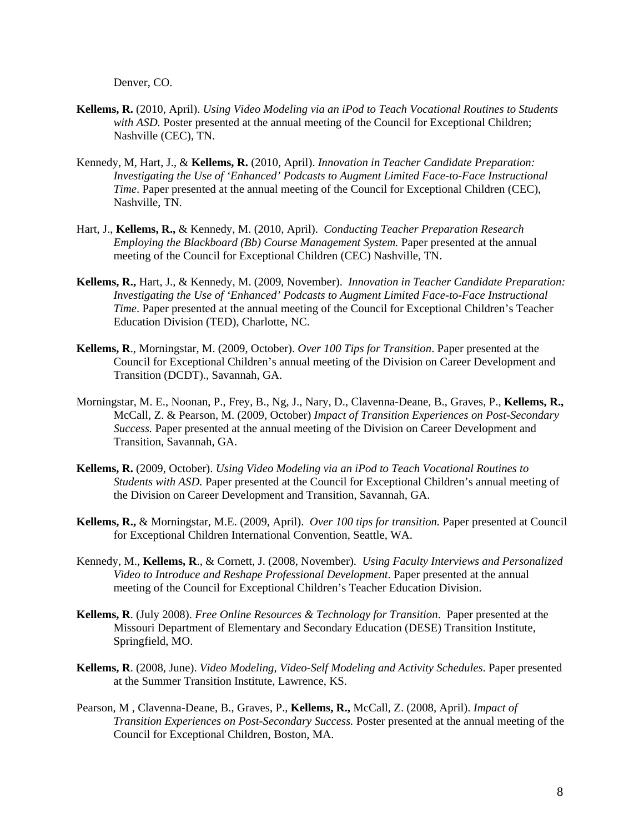Denver, CO.

- **Kellems, R.** (2010, April). *Using Video Modeling via an iPod to Teach Vocational Routines to Students with ASD.* Poster presented at the annual meeting of the Council for Exceptional Children; Nashville (CEC), TN.
- Kennedy, M, Hart, J., & **Kellems, R.** (2010, April). *Innovation in Teacher Candidate Preparation: Investigating the Use of 'Enhanced' Podcasts to Augment Limited Face-to-Face Instructional Time*. Paper presented at the annual meeting of the Council for Exceptional Children (CEC), Nashville, TN.
- Hart, J., **Kellems, R.,** & Kennedy, M. (2010, April). *Conducting Teacher Preparation Research Employing the Blackboard (Bb) Course Management System.* Paper presented at the annual meeting of the Council for Exceptional Children (CEC) Nashville, TN.
- **Kellems, R.,** Hart, J., & Kennedy, M. (2009, November). *Innovation in Teacher Candidate Preparation: Investigating the Use of 'Enhanced' Podcasts to Augment Limited Face-to-Face Instructional Time*. Paper presented at the annual meeting of the Council for Exceptional Children's Teacher Education Division (TED), Charlotte, NC.
- **Kellems, R**., Morningstar, M. (2009, October). *Over 100 Tips for Transition*. Paper presented at the Council for Exceptional Children's annual meeting of the Division on Career Development and Transition (DCDT)., Savannah, GA.
- Morningstar, M. E., Noonan, P., Frey, B., Ng, J., Nary, D., Clavenna-Deane, B., Graves, P., **Kellems, R.,** McCall, Z. & Pearson, M. (2009, October) *Impact of Transition Experiences on Post-Secondary Success.* Paper presented at the annual meeting of the Division on Career Development and Transition, Savannah, GA.
- **Kellems, R.** (2009, October). *Using Video Modeling via an iPod to Teach Vocational Routines to Students with ASD.* Paper presented at the Council for Exceptional Children's annual meeting of the Division on Career Development and Transition, Savannah, GA.
- **Kellems, R.,** & Morningstar, M.E. (2009, April). *Over 100 tips for transition.* Paper presented at Council for Exceptional Children International Convention, Seattle, WA.
- Kennedy, M., **Kellems, R**., & Cornett, J. (2008, November). *Using Faculty Interviews and Personalized Video to Introduce and Reshape Professional Development*. Paper presented at the annual meeting of the Council for Exceptional Children's Teacher Education Division.
- **Kellems, R**. (July 2008). *Free Online Resources & Technology for Transition*. Paper presented at the Missouri Department of Elementary and Secondary Education (DESE) Transition Institute, Springfield, MO.
- **Kellems, R**. (2008, June). *Video Modeling, Video-Self Modeling and Activity Schedules*. Paper presented at the Summer Transition Institute, Lawrence, KS.
- Pearson, M , Clavenna-Deane, B., Graves, P., **Kellems, R.,** McCall, Z. (2008, April). *Impact of Transition Experiences on Post-Secondary Success.* Poster presented at the annual meeting of the Council for Exceptional Children, Boston, MA.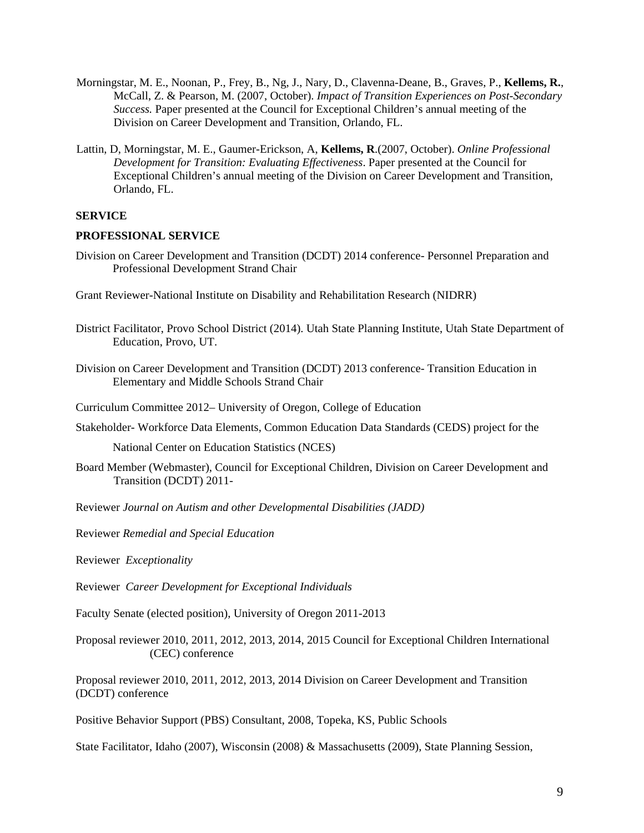- Morningstar, M. E., Noonan, P., Frey, B., Ng, J., Nary, D., Clavenna-Deane, B., Graves, P., **Kellems, R.**, McCall, Z. & Pearson, M. (2007, October). *Impact of Transition Experiences on Post-Secondary Success.* Paper presented at the Council for Exceptional Children's annual meeting of the Division on Career Development and Transition, Orlando, FL.
- Lattin, D, Morningstar, M. E., Gaumer-Erickson, A, **Kellems, R**.(2007, October). *Online Professional Development for Transition: Evaluating Effectiveness*. Paper presented at the Council for Exceptional Children's annual meeting of the Division on Career Development and Transition, Orlando, FL.

### **SERVICE**

#### **PROFESSIONAL SERVICE**

Division on Career Development and Transition (DCDT) 2014 conference- Personnel Preparation and Professional Development Strand Chair

Grant Reviewer-National Institute on Disability and Rehabilitation Research (NIDRR)

District Facilitator, Provo School District (2014). Utah State Planning Institute, Utah State Department of Education, Provo, UT.

Division on Career Development and Transition (DCDT) 2013 conference- Transition Education in Elementary and Middle Schools Strand Chair

Curriculum Committee 2012– University of Oregon, College of Education

Stakeholder- Workforce Data Elements, Common Education Data Standards (CEDS) project for the

National Center on Education Statistics (NCES)

Board Member (Webmaster), Council for Exceptional Children, Division on Career Development and Transition (DCDT) 2011-

Reviewer *Journal on Autism and other Developmental Disabilities (JADD)*

Reviewer *Remedial and Special Education* 

Reviewer *Exceptionality* 

Reviewer *Career Development for Exceptional Individuals* 

Faculty Senate (elected position), University of Oregon 2011-2013

Proposal reviewer 2010, 2011, 2012, 2013, 2014, 2015 Council for Exceptional Children International (CEC) conference

Proposal reviewer 2010, 2011, 2012, 2013, 2014 Division on Career Development and Transition (DCDT) conference

Positive Behavior Support (PBS) Consultant, 2008, Topeka, KS, Public Schools

State Facilitator, Idaho (2007), Wisconsin (2008) & Massachusetts (2009), State Planning Session,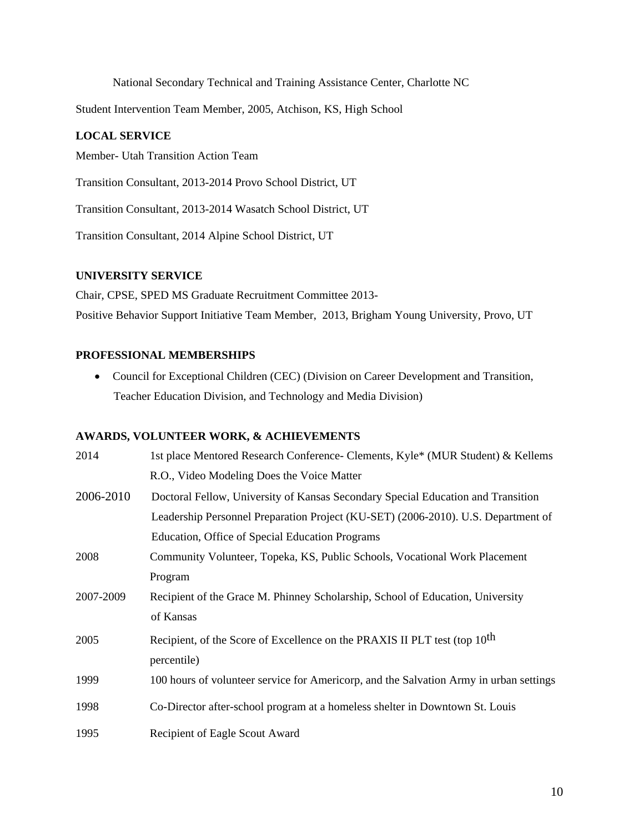National Secondary Technical and Training Assistance Center, Charlotte NC

Student Intervention Team Member, 2005, Atchison, KS, High School

## **LOCAL SERVICE**

Member- Utah Transition Action Team

Transition Consultant, 2013-2014 Provo School District, UT

Transition Consultant, 2013-2014 Wasatch School District, UT

Transition Consultant, 2014 Alpine School District, UT

### **UNIVERSITY SERVICE**

Chair, CPSE, SPED MS Graduate Recruitment Committee 2013- Positive Behavior Support Initiative Team Member, 2013, Brigham Young University, Provo, UT

# **PROFESSIONAL MEMBERSHIPS**

 Council for Exceptional Children (CEC) (Division on Career Development and Transition, Teacher Education Division, and Technology and Media Division)

## **AWARDS, VOLUNTEER WORK, & ACHIEVEMENTS**

| 2014      | 1st place Mentored Research Conference- Clements, Kyle* (MUR Student) & Kellems         |  |
|-----------|-----------------------------------------------------------------------------------------|--|
|           | R.O., Video Modeling Does the Voice Matter                                              |  |
| 2006-2010 | Doctoral Fellow, University of Kansas Secondary Special Education and Transition        |  |
|           | Leadership Personnel Preparation Project (KU-SET) (2006-2010). U.S. Department of       |  |
|           | Education, Office of Special Education Programs                                         |  |
| 2008      | Community Volunteer, Topeka, KS, Public Schools, Vocational Work Placement              |  |
|           | Program                                                                                 |  |
| 2007-2009 | Recipient of the Grace M. Phinney Scholarship, School of Education, University          |  |
|           | of Kansas                                                                               |  |
| 2005      | Recipient, of the Score of Excellence on the PRAXIS II PLT test (top 10 <sup>th</sup> ) |  |
|           | percentile)                                                                             |  |
| 1999      | 100 hours of volunteer service for Americorp, and the Salvation Army in urban settings  |  |
| 1998      | Co-Director after-school program at a homeless shelter in Downtown St. Louis            |  |
| 1995      | Recipient of Eagle Scout Award                                                          |  |